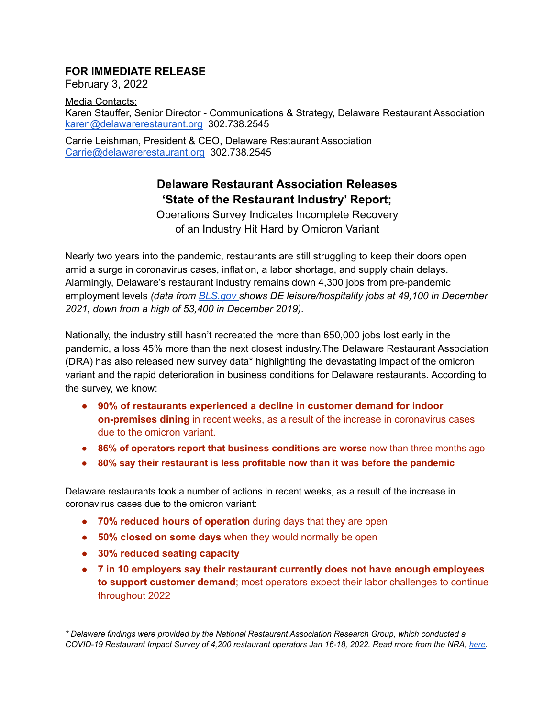## **FOR IMMEDIATE RELEASE**

February 3, 2022

Media Contacts: Karen Stauffer, Senior Director - Communications & Strategy, Delaware Restaurant Association [karen@delawarerestaurant.org](mailto:karen@delawarerestaurant.org) 302.738.2545

Carrie Leishman, President & CEO, Delaware Restaurant Association [Carrie@delawarerestaurant.org](mailto:Carrie@delawarerestaurant.org) 302.738.2545

## **Delaware Restaurant Association Releases 'State of the Restaurant Industry' Report;**

Operations Survey Indicates Incomplete Recovery of an Industry Hit Hard by Omicron Variant

Nearly two years into the pandemic, restaurants are still struggling to keep their doors open amid a surge in coronavirus cases, inflation, a labor shortage, and supply chain delays. Alarmingly, Delaware's restaurant industry remains down 4,300 jobs from pre-pandemic employment levels *(data from [BLS.gov](https://www.bls.gov/eag/eag.de.htm) shows DE leisure/hospitality jobs at 49,100 in December 2021, down from a high of 53,400 in December 2019).*

Nationally, the industry still hasn't recreated the more than 650,000 jobs lost early in the pandemic, a loss 45% more than the next closest industry.The Delaware Restaurant Association (DRA) has also released new survey data\* highlighting the devastating impact of the omicron variant and the rapid deterioration in business conditions for Delaware restaurants. According to the survey, we know:

- **90% of restaurants experienced a decline in customer demand for indoor on-premises dining** in recent weeks, as a result of the increase in coronavirus cases due to the omicron variant.
- **● 86% of operators report that business conditions are worse** now than three months ago
- **● 80% say their restaurant is less profitable now than it was before the pandemic**

Delaware restaurants took a number of actions in recent weeks, as a result of the increase in coronavirus cases due to the omicron variant:

- **70% reduced hours of operation** during days that they are open
- **50% closed on some days** when they would normally be open
- **● 30% reduced seating capacity**
- **7 in 10 employers say their restaurant currently does not have enough employees to support customer demand**; most operators expect their labor challenges to continue throughout 2022

*\* Delaware findings were provided by the National Restaurant Association Research Group, which conducted a COVID-19 Restaurant Impact Survey of 4,200 restaurant operators Jan 16-18, 2022. Read more from the NRA, [here.](https://restaurant.org/research-and-media/media/)*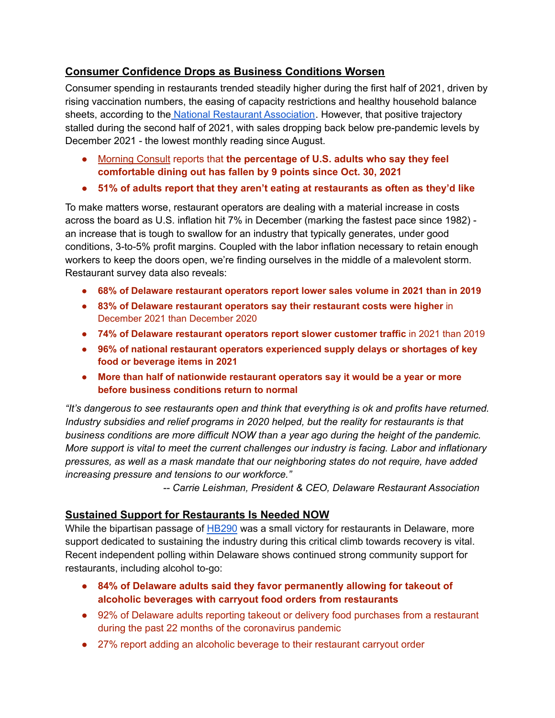## **Consumer Confidence Drops as Business Conditions Worsen**

Consumer spending in restaurants trended steadily higher during the first half of 2021, driven by rising vaccination numbers, the easing of capacity restrictions and healthy household balance sheets, according to the National Restaurant [Association](https://restaurant.org/research-and-media/research/economists-notebook/analysis-commentary/real-restaurant-sales-fell-below-pre-pandemic-levels-in-december/). However, that positive trajectory stalled during the second half of 2021, with sales dropping back below pre-pandemic levels by December 2021 - the lowest monthly reading since August.

- [Morning](https://morningconsult.com/return-to-dining/) Consult reports that **the percentage of U.S. adults who say they feel comfortable dining out has fallen by 9 points since Oct. 30, 2021**
- **● 51% of adults report that they aren't eating at restaurants as often as they'd like**

To make matters worse, restaurant operators are dealing with a material increase in costs across the board as U.S. inflation hit 7% in December (marking the fastest pace since 1982) an increase that is tough to swallow for an industry that typically generates, under good conditions, 3-to-5% profit margins. Coupled with the labor inflation necessary to retain enough workers to keep the doors open, we're finding ourselves in the middle of a malevolent storm. Restaurant survey data also reveals:

- **● 68% of Delaware restaurant operators report lower sales volume in 2021 than in 2019**
- **83% of Delaware restaurant operators say their restaurant costs were higher** in December 2021 than December 2020
- **74% of Delaware restaurant operators report slower customer traffic** in 2021 than 2019
- **● 96% of national restaurant operators experienced supply delays or shortages of key food or beverage items in 2021**
- **● More than half of nationwide restaurant operators say it would be a year or more before business conditions return to normal**

*"It's dangerous to see restaurants open and think that everything is ok and profits have returned. Industry subsidies and relief programs in 2020 helped, but the reality for restaurants is that business conditions are more difficult NOW than a year ago during the height of the pandemic. More support is vital to meet the current challenges our industry is facing. Labor and inflationary pressures, as well as a mask mandate that our neighboring states do not require, have added increasing pressure and tensions to our workforce."*

*-- Carrie Leishman, President & CEO, Delaware Restaurant Association*

## **Sustained Support for Restaurants Is Needed NOW**

While the bipartisan passage of [HB290](https://legis.delaware.gov/BillDetail?LegislationId=79068) was a small victory for restaurants in Delaware, more support dedicated to sustaining the industry during this critical climb towards recovery is vital. Recent independent polling within Delaware shows continued strong community support for restaurants, including alcohol to-go:

- **● 84% of Delaware adults said they favor permanently allowing for takeout of alcoholic beverages with carryout food orders from restaurants**
- 92% of Delaware adults reporting takeout or delivery food purchases from a restaurant during the past 22 months of the coronavirus pandemic
- 27% report adding an alcoholic beverage to their restaurant carryout order